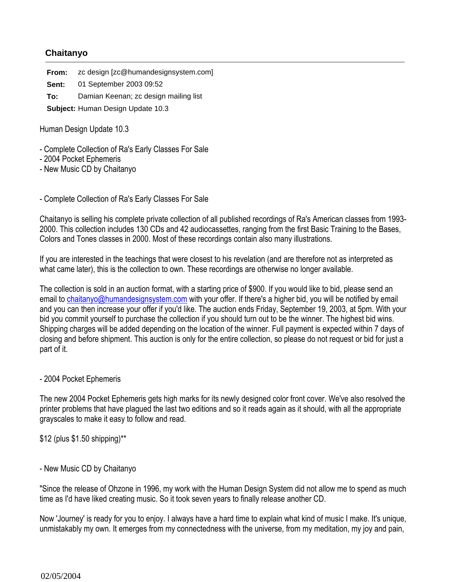## **Chaitanyo**

**From:** zc design [zc@humandesignsystem.com] **Sent:** 01 September 2003 09:52

**To:** Damian Keenan; zc design mailing list

**Subject:** Human Design Update 10.3

Human Design Update 10.3

- Complete Collection of Ra's Early Classes For Sale
- 2004 Pocket Ephemeris
- New Music CD by Chaitanyo

- Complete Collection of Ra's Early Classes For Sale

Chaitanyo is selling his complete private collection of all published recordings of Ra's American classes from 1993- 2000. This collection includes 130 CDs and 42 audiocassettes, ranging from the first Basic Training to the Bases, Colors and Tones classes in 2000. Most of these recordings contain also many illustrations.

If you are interested in the teachings that were closest to his revelation (and are therefore not as interpreted as what came later), this is the collection to own. These recordings are otherwise no longer available.

The collection is sold in an auction format, with a starting price of \$900. If you would like to bid, please send an email to chaitanyo@humandesignsystem.com with your offer. If there's a higher bid, you will be notified by email and you can then increase your offer if you'd like. The auction ends Friday, September 19, 2003, at 5pm. With your bid you commit yourself to purchase the collection if you should turn out to be the winner. The highest bid wins. Shipping charges will be added depending on the location of the winner. Full payment is expected within 7 days of closing and before shipment. This auction is only for the entire collection, so please do not request or bid for just a part of it.

## - 2004 Pocket Ephemeris

The new 2004 Pocket Ephemeris gets high marks for its newly designed color front cover. We've also resolved the printer problems that have plagued the last two editions and so it reads again as it should, with all the appropriate grayscales to make it easy to follow and read.

\$12 (plus \$1.50 shipping)\*\*

## - New Music CD by Chaitanyo

"Since the release of Ohzone in 1996, my work with the Human Design System did not allow me to spend as much time as I'd have liked creating music. So it took seven years to finally release another CD.

Now 'Journey' is ready for you to enjoy. I always have a hard time to explain what kind of music I make. It's unique, unmistakably my own. It emerges from my connectedness with the universe, from my meditation, my joy and pain,